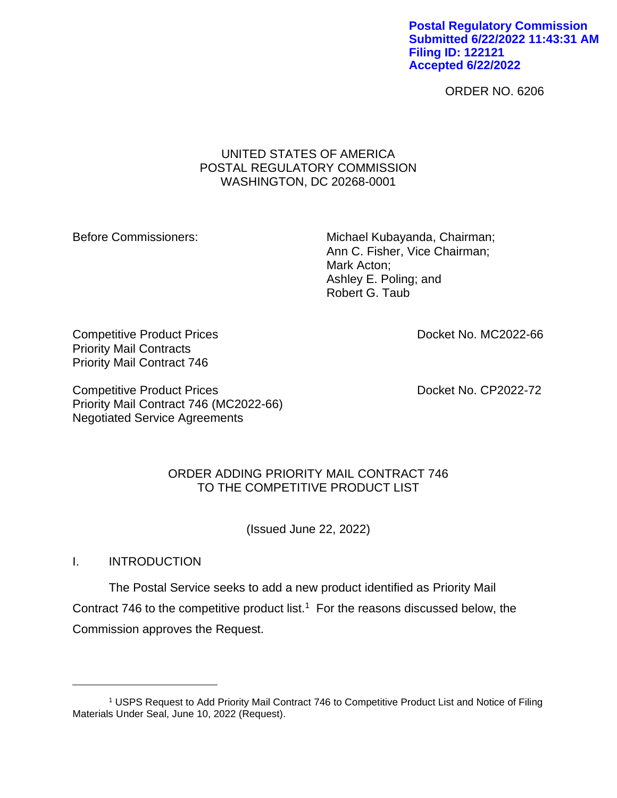**Postal Regulatory Commission Submitted 6/22/2022 11:43:31 AM Filing ID: 122121 Accepted 6/22/2022**

ORDER NO. 6206

## UNITED STATES OF AMERICA POSTAL REGULATORY COMMISSION WASHINGTON, DC 20268-0001

Before Commissioners: Michael Kubayanda, Chairman; Ann C. Fisher, Vice Chairman; Mark Acton; Ashley E. Poling; and Robert G. Taub

Competitive Product Prices **Competitive Product Prices Docket No. MC2022-66** Priority Mail Contracts Priority Mail Contract 746

Competitive Product Prices **Docket No. CP2022-72** Priority Mail Contract 746 (MC2022-66) Negotiated Service Agreements

# ORDER ADDING PRIORITY MAIL CONTRACT 746 TO THE COMPETITIVE PRODUCT LIST

(Issued June 22, 2022)

I. INTRODUCTION

The Postal Service seeks to add a new product identified as Priority Mail Contract 746 to the competitive product list.<sup>1</sup> For the reasons discussed below, the Commission approves the Request.

<sup>1</sup> USPS Request to Add Priority Mail Contract 746 to Competitive Product List and Notice of Filing Materials Under Seal, June 10, 2022 (Request).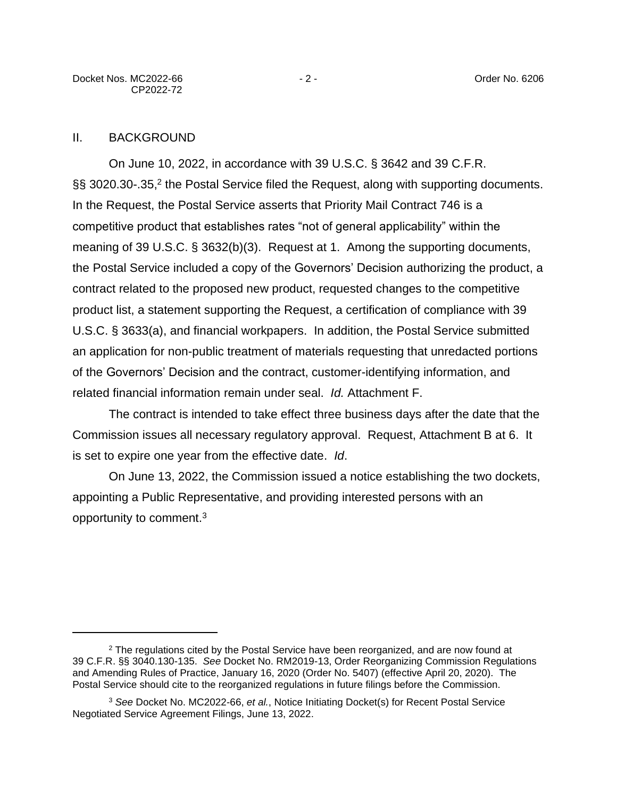### II. BACKGROUND

On June 10, 2022, in accordance with 39 U.S.C. § 3642 and 39 C.F.R. §§ 3020.30-.35,<sup>2</sup> the Postal Service filed the Request, along with supporting documents. In the Request, the Postal Service asserts that Priority Mail Contract 746 is a competitive product that establishes rates "not of general applicability" within the meaning of 39 U.S.C. § 3632(b)(3). Request at 1. Among the supporting documents, the Postal Service included a copy of the Governors' Decision authorizing the product, a contract related to the proposed new product, requested changes to the competitive product list, a statement supporting the Request, a certification of compliance with 39 U.S.C. § 3633(a), and financial workpapers. In addition, the Postal Service submitted an application for non-public treatment of materials requesting that unredacted portions of the Governors' Decision and the contract, customer-identifying information, and related financial information remain under seal. *Id.* Attachment F.

The contract is intended to take effect three business days after the date that the Commission issues all necessary regulatory approval. Request, Attachment B at 6. It is set to expire one year from the effective date. *Id*.

On June 13, 2022, the Commission issued a notice establishing the two dockets, appointing a Public Representative, and providing interested persons with an opportunity to comment.<sup>3</sup>

<sup>&</sup>lt;sup>2</sup> The regulations cited by the Postal Service have been reorganized, and are now found at 39 C.F.R. §§ 3040.130-135. *See* Docket No. RM2019-13, Order Reorganizing Commission Regulations and Amending Rules of Practice, January 16, 2020 (Order No. 5407) (effective April 20, 2020). The Postal Service should cite to the reorganized regulations in future filings before the Commission.

<sup>3</sup> *See* Docket No. MC2022-66, *et al.*, Notice Initiating Docket(s) for Recent Postal Service Negotiated Service Agreement Filings, June 13, 2022.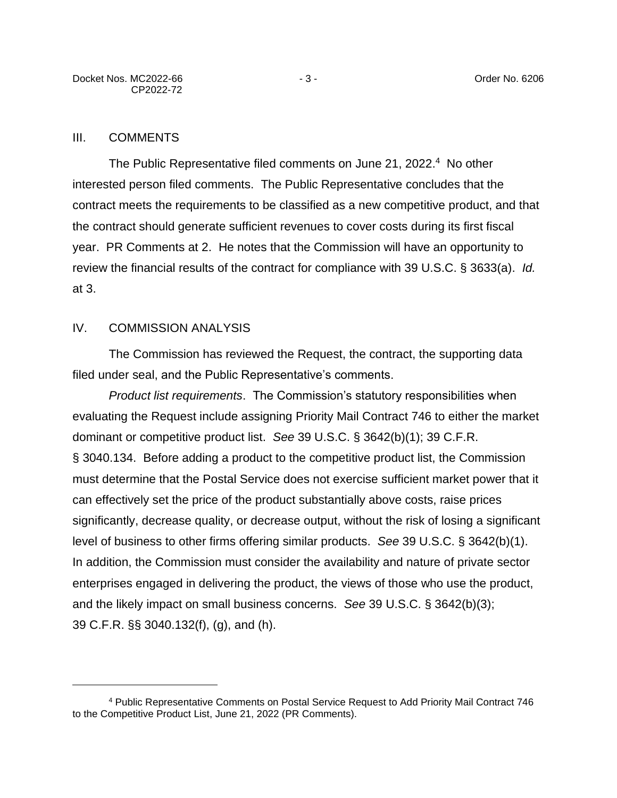### III. COMMENTS

The Public Representative filed comments on June 21, 2022.<sup>4</sup> No other interested person filed comments. The Public Representative concludes that the contract meets the requirements to be classified as a new competitive product, and that the contract should generate sufficient revenues to cover costs during its first fiscal year. PR Comments at 2. He notes that the Commission will have an opportunity to review the financial results of the contract for compliance with 39 U.S.C. § 3633(a). *Id.*  at 3.

### IV. COMMISSION ANALYSIS

The Commission has reviewed the Request, the contract, the supporting data filed under seal, and the Public Representative's comments.

*Product list requirements*. The Commission's statutory responsibilities when evaluating the Request include assigning Priority Mail Contract 746 to either the market dominant or competitive product list. *See* 39 U.S.C. § 3642(b)(1); 39 C.F.R. § 3040.134. Before adding a product to the competitive product list, the Commission must determine that the Postal Service does not exercise sufficient market power that it can effectively set the price of the product substantially above costs, raise prices significantly, decrease quality, or decrease output, without the risk of losing a significant level of business to other firms offering similar products. *See* 39 U.S.C. § 3642(b)(1). In addition, the Commission must consider the availability and nature of private sector enterprises engaged in delivering the product, the views of those who use the product, and the likely impact on small business concerns. *See* 39 U.S.C. § 3642(b)(3); 39 C.F.R. §§ 3040.132(f), (g), and (h).

<sup>4</sup> Public Representative Comments on Postal Service Request to Add Priority Mail Contract 746 to the Competitive Product List, June 21, 2022 (PR Comments).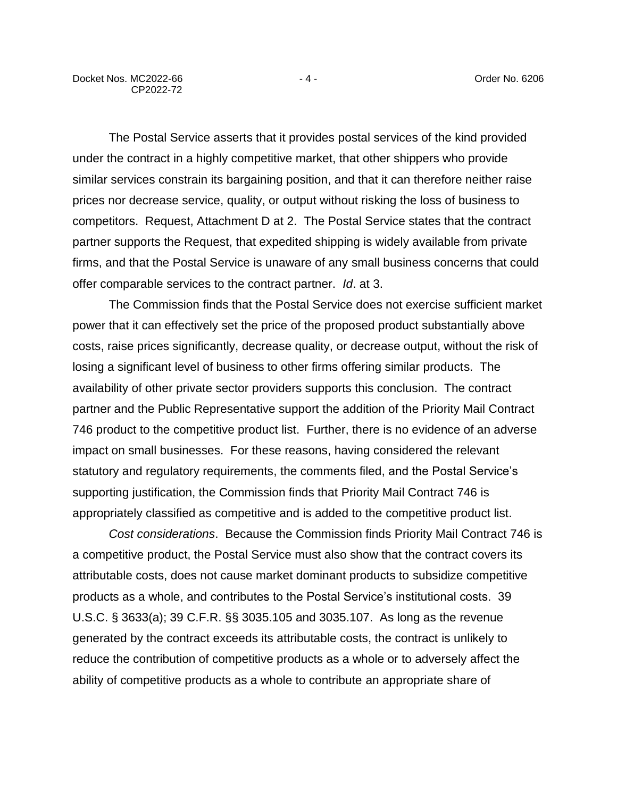The Postal Service asserts that it provides postal services of the kind provided under the contract in a highly competitive market, that other shippers who provide similar services constrain its bargaining position, and that it can therefore neither raise prices nor decrease service, quality, or output without risking the loss of business to competitors. Request, Attachment D at 2. The Postal Service states that the contract partner supports the Request, that expedited shipping is widely available from private firms, and that the Postal Service is unaware of any small business concerns that could offer comparable services to the contract partner. *Id*. at 3.

The Commission finds that the Postal Service does not exercise sufficient market power that it can effectively set the price of the proposed product substantially above costs, raise prices significantly, decrease quality, or decrease output, without the risk of losing a significant level of business to other firms offering similar products. The availability of other private sector providers supports this conclusion. The contract partner and the Public Representative support the addition of the Priority Mail Contract 746 product to the competitive product list. Further, there is no evidence of an adverse impact on small businesses. For these reasons, having considered the relevant statutory and regulatory requirements, the comments filed, and the Postal Service's supporting justification, the Commission finds that Priority Mail Contract 746 is appropriately classified as competitive and is added to the competitive product list.

*Cost considerations*. Because the Commission finds Priority Mail Contract 746 is a competitive product, the Postal Service must also show that the contract covers its attributable costs, does not cause market dominant products to subsidize competitive products as a whole, and contributes to the Postal Service's institutional costs. 39 U.S.C. § 3633(a); 39 C.F.R. §§ 3035.105 and 3035.107. As long as the revenue generated by the contract exceeds its attributable costs, the contract is unlikely to reduce the contribution of competitive products as a whole or to adversely affect the ability of competitive products as a whole to contribute an appropriate share of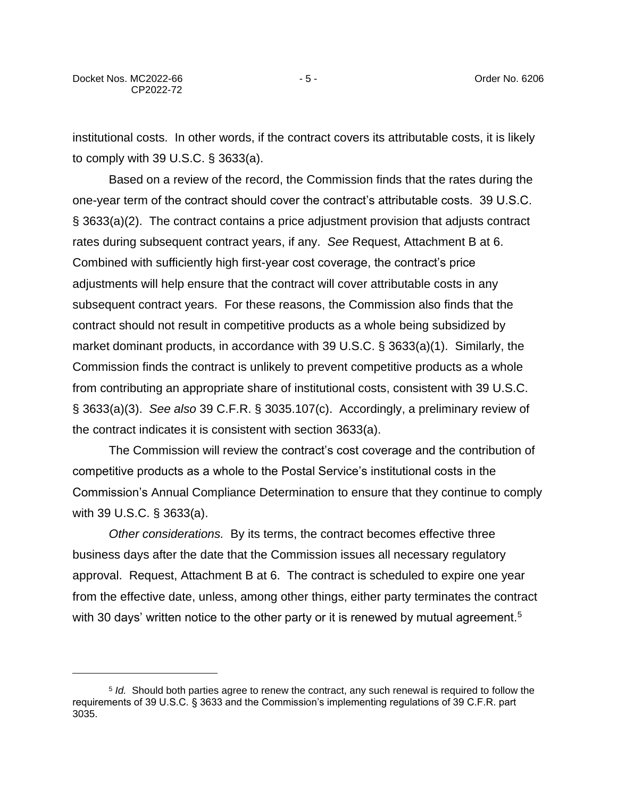institutional costs. In other words, if the contract covers its attributable costs, it is likely to comply with 39 U.S.C. § 3633(a).

Based on a review of the record, the Commission finds that the rates during the one-year term of the contract should cover the contract's attributable costs. 39 U.S.C. § 3633(a)(2). The contract contains a price adjustment provision that adjusts contract rates during subsequent contract years, if any. *See* Request, Attachment B at 6. Combined with sufficiently high first-year cost coverage, the contract's price adjustments will help ensure that the contract will cover attributable costs in any subsequent contract years. For these reasons, the Commission also finds that the contract should not result in competitive products as a whole being subsidized by market dominant products, in accordance with 39 U.S.C. § 3633(a)(1). Similarly, the Commission finds the contract is unlikely to prevent competitive products as a whole from contributing an appropriate share of institutional costs, consistent with 39 U.S.C. § 3633(a)(3). *See also* 39 C.F.R. § 3035.107(c). Accordingly, a preliminary review of the contract indicates it is consistent with section 3633(a).

The Commission will review the contract's cost coverage and the contribution of competitive products as a whole to the Postal Service's institutional costs in the Commission's Annual Compliance Determination to ensure that they continue to comply with 39 U.S.C. § 3633(a).

*Other considerations.* By its terms, the contract becomes effective three business days after the date that the Commission issues all necessary regulatory approval. Request, Attachment B at 6. The contract is scheduled to expire one year from the effective date, unless, among other things, either party terminates the contract with 30 days' written notice to the other party or it is renewed by mutual agreement.<sup>5</sup>

<sup>5</sup> *Id.* Should both parties agree to renew the contract, any such renewal is required to follow the requirements of 39 U.S.C. § 3633 and the Commission's implementing regulations of 39 C.F.R. part 3035.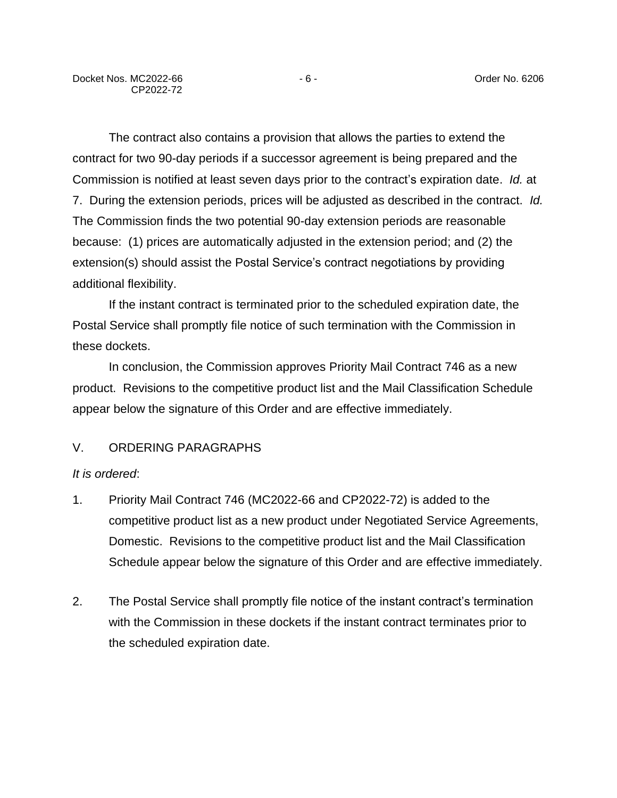The contract also contains a provision that allows the parties to extend the contract for two 90-day periods if a successor agreement is being prepared and the Commission is notified at least seven days prior to the contract's expiration date. *Id.* at 7. During the extension periods, prices will be adjusted as described in the contract. *Id.* The Commission finds the two potential 90-day extension periods are reasonable because: (1) prices are automatically adjusted in the extension period; and (2) the extension(s) should assist the Postal Service's contract negotiations by providing additional flexibility.

If the instant contract is terminated prior to the scheduled expiration date, the Postal Service shall promptly file notice of such termination with the Commission in these dockets.

In conclusion, the Commission approves Priority Mail Contract 746 as a new product. Revisions to the competitive product list and the Mail Classification Schedule appear below the signature of this Order and are effective immediately.

### V. ORDERING PARAGRAPHS

#### *It is ordered*:

- 1. Priority Mail Contract 746 (MC2022-66 and CP2022-72) is added to the competitive product list as a new product under Negotiated Service Agreements, Domestic. Revisions to the competitive product list and the Mail Classification Schedule appear below the signature of this Order and are effective immediately.
- 2. The Postal Service shall promptly file notice of the instant contract's termination with the Commission in these dockets if the instant contract terminates prior to the scheduled expiration date.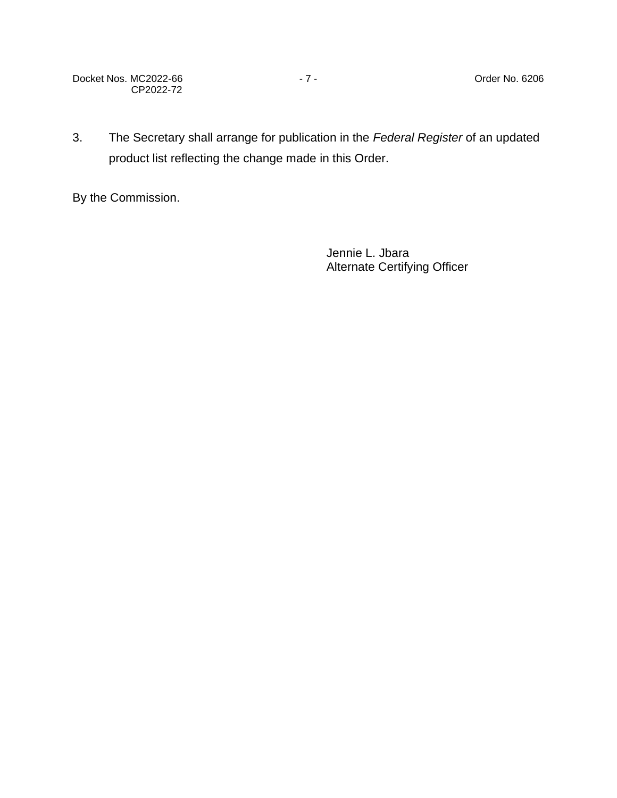Docket Nos. MC2022-66 - 7 - 2006 - 7 - 2006 - 7 - 2007 - 2010 - 2010 - 2010 - 2010 - 2010 - 2010 - 2010 - 2010 CP2022-72

3. The Secretary shall arrange for publication in the *Federal Register* of an updated product list reflecting the change made in this Order.

By the Commission.

Jennie L. Jbara Alternate Certifying Officer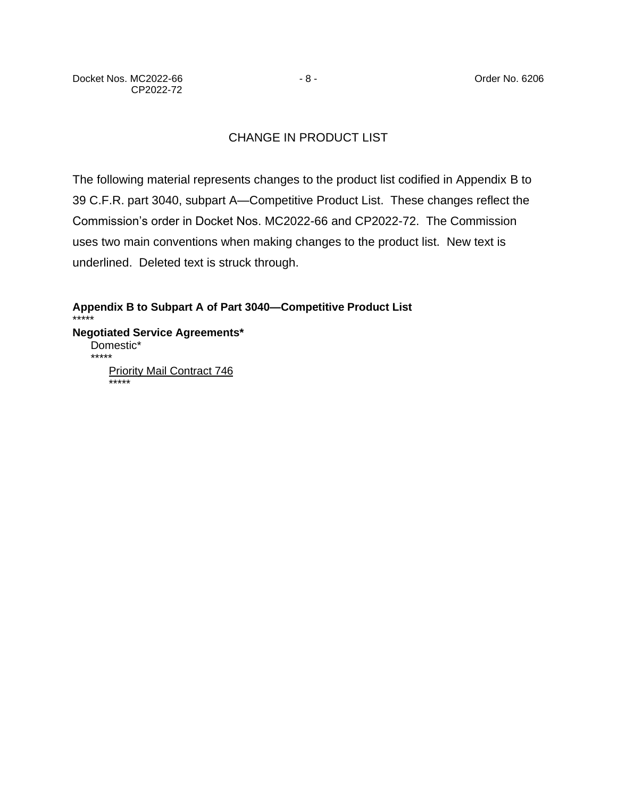# CHANGE IN PRODUCT LIST

The following material represents changes to the product list codified in Appendix B to 39 C.F.R. part 3040, subpart A—Competitive Product List. These changes reflect the Commission's order in Docket Nos. MC2022-66 and CP2022-72. The Commission uses two main conventions when making changes to the product list. New text is underlined. Deleted text is struck through.

**Appendix B to Subpart A of Part 3040—Competitive Product List** \*\*\*\*\* **Negotiated Service Agreements\*** Domestic\* \*\*\*\*\* **Priority Mail Contract 746** \*\*\*\*\*